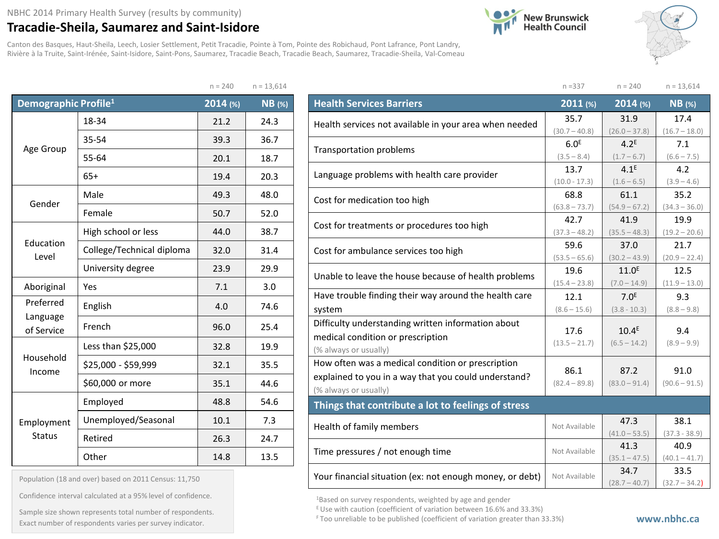## NBHC 2014 Primary Health Survey (results by community)

## **Tracadie-Sheila, Saumarez and Saint-Isidore**

Canton des Basques, Haut-Sheila, Leech, Losier Settlement, Petit Tracadie, Pointe à Tom, Pointe des Robichaud, Pont Lafrance, Pont Landry, Rivière à la Truite, Saint-Irénée, Saint-Isidore, Saint-Pons, Saumarez, Tracadie Beach, Tracadie Beach, Saumarez, Tracadie-Sheila, Val-Comeau





|                                  |                           | $n = 240$ | $n = 13,614$  |
|----------------------------------|---------------------------|-----------|---------------|
| Demographic Profile <sup>1</sup> |                           | 2014 (%)  | <b>NB</b> (%) |
|                                  | 18-34                     | 21.2      | 24.3          |
| Age Group                        | 35-54                     | 39.3      | 36.7          |
|                                  | 55-64                     | 20.1      | 18.7          |
|                                  | $65+$                     | 19.4      | 20.3          |
| Gender                           | Male                      | 49.3      | 48.0          |
| Female                           |                           | 50.7      | 52.0          |
| Education<br>Level               | High school or less       | 44.0      | 38.7          |
|                                  | College/Technical diploma | 32.0      | 31.4          |
|                                  | University degree         | 23.9      | 29.9          |
| Aboriginal                       | Yes                       | 7.1       | 3.0           |
| Preferred                        | English                   | 4.0       | 74.6          |
| Language<br>of Service           | French                    | 96.0      | 25.4          |
|                                  | Less than \$25,000        | 32.8      | 19.9          |
| Household<br>Income              | \$25,000 - \$59,999       | 32.1      | 35.5          |
|                                  | \$60,000 or more          | 35.1      | 44.6          |
|                                  | Employed                  | 48.8      | 54.6          |
| Employment                       | Unemployed/Seasonal       | 10.1      | 7.3           |
| <b>Status</b>                    | Retired                   | 26.3      | 24.7          |
|                                  | Other                     | 14.8      | 13.5          |

Population (18 and over) based on 2011 Census: 11,750 Confidence interval calculated at a 95% level of confidence. Sample size shown represents total number of respondents.

|                                                          | $n = 337$        | $n = 240$         | $n = 13,614$    |
|----------------------------------------------------------|------------------|-------------------|-----------------|
| <b>Health Services Barriers</b>                          | 2011 (%)         | 2014 (%)          | $NB$ (%)        |
| Health services not available in your area when needed   | 35.7             | 31.9              | 17.4            |
|                                                          | $(30.7 - 40.8)$  | $(26.0 - 37.8)$   | $(16.7 - 18.0)$ |
| Transportation problems                                  | 6.0 <sup>E</sup> | 4.2 <sup>E</sup>  | 7.1             |
|                                                          | $(3.5 - 8.4)$    | $(1.7 - 6.7)$     | $(6.6 - 7.5)$   |
| Language problems with health care provider              | 13.7             | 4.1 <sup>E</sup>  | 4.2             |
|                                                          | $(10.0 - 17.3)$  | $(1.6 - 6.5)$     | $(3.9 - 4.6)$   |
| Cost for medication too high                             | 68.8             | 61.1              | 35.2            |
|                                                          | $(63.8 - 73.7)$  | $(54.9 - 67.2)$   | $(34.3 - 36.0)$ |
| Cost for treatments or procedures too high               | 42.7             | 41.9              | 19.9            |
|                                                          | $(37.3 - 48.2)$  | $(35.5 - 48.3)$   | $(19.2 - 20.6)$ |
| Cost for ambulance services too high                     | 59.6             | 37.0              | 21.7            |
|                                                          | $(53.5 - 65.6)$  | $(30.2 - 43.9)$   | $(20.9 - 22.4)$ |
| Unable to leave the house because of health problems     | 19.6             | 11.0 <sup>E</sup> | 12.5            |
|                                                          | $(15.4 - 23.8)$  | $(7.0 - 14.9)$    | $(11.9 - 13.0)$ |
| Have trouble finding their way around the health care    | 12.1             | 7.0 <sup>E</sup>  | 9.3             |
| system                                                   | $(8.6 - 15.6)$   | $(3.8 - 10.3)$    | $(8.8 - 9.8)$   |
| Difficulty understanding written information about       |                  |                   |                 |
| medical condition or prescription                        | 17.6             | 10.4 <sup>E</sup> | 9.4             |
| (% always or usually)                                    | $(13.5 - 21.7)$  | $(6.5 - 14.2)$    | $(8.9 - 9.9)$   |
| How often was a medical condition or prescription        |                  |                   |                 |
| explained to you in a way that you could understand?     | 86.1             | 87.2              | 91.0            |
| (% always or usually)                                    | $(82.4 - 89.8)$  | $(83.0 - 91.4)$   | $(90.6 - 91.5)$ |
| Things that contribute a lot to feelings of stress       |                  |                   |                 |
|                                                          |                  | 47.3              | 38.1            |
| Health of family members                                 | Not Available    | $(41.0 - 53.5)$   | $(37.3 - 38.9)$ |
| Time pressures / not enough time                         | Not Available    | 41.3              | 40.9            |
|                                                          |                  | $(35.1 - 47.5)$   | $(40.1 - 41.7)$ |
| Your financial situation (ex: not enough money, or debt) | Not Available    | 34.7              | 33.5            |
|                                                          |                  | $(28.7 - 40.7)$   | $(32.7 - 34.2)$ |

1Based on survey respondents, weighted by age and gender

E Use with caution (coefficient of variation between 16.6% and 33.3%)

Exact number of respondents varies per survey indicator. **Exact number of respondents varies per survey** indicator.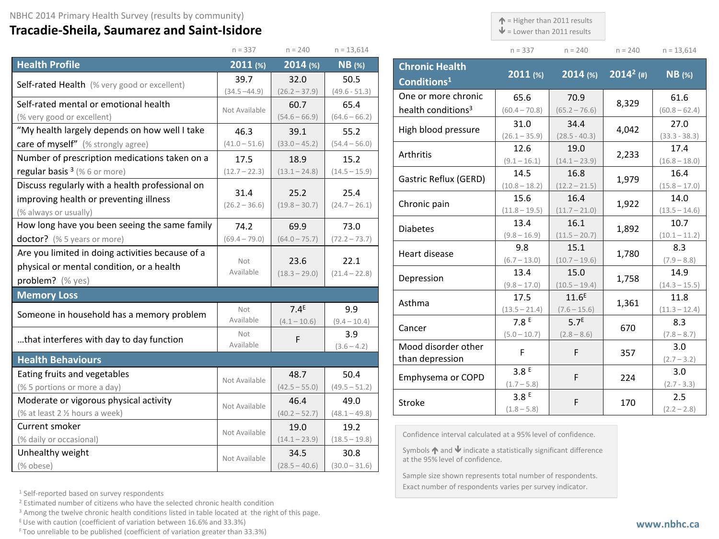## **Tracadie-Sheila, Saumarez and Saint-Isidore**

 $\uparrow$  = Higher than 2011 results

 $\mathbf{\Psi}$  = Lower than 2011 results

| $n = 337$ | $n = 240$ | $n = 240$ | $n = 13,614$ |
|-----------|-----------|-----------|--------------|

|                                                  | $n = 337$               | $n = 240$               | $n = 13,614$            |
|--------------------------------------------------|-------------------------|-------------------------|-------------------------|
| <b>Health Profile</b>                            | 2011 (%)                | 2014 (%)                | $NB$ (%)                |
| Self-rated Health (% very good or excellent)     | 39.7                    | 32.0                    | 50.5                    |
|                                                  | $(34.5 - 44.9)$         | $(26.2 - 37.9)$         | $(49.6 - 51.3)$         |
| Self-rated mental or emotional health            | Not Available           | 60.7                    | 65.4                    |
| (% very good or excellent)                       |                         | $(54.6 - 66.9)$         | $(64.6 - 66.2)$         |
| "My health largely depends on how well I take    | 46.3                    | 39.1                    | 55.2                    |
| care of myself" (% strongly agree)               | $(41.0 - 51.6)$         | $(33.0 - 45.2)$         | $(54.4 - 56.0)$         |
| Number of prescription medications taken on a    | 17.5                    | 18.9                    | 15.2                    |
| regular basis $3$ (% 6 or more)                  | $(12.7 - 22.3)$         | $(13.1 - 24.8)$         | $(14.5 - 15.9)$         |
| Discuss regularly with a health professional on  |                         |                         |                         |
| improving health or preventing illness           | 31.4<br>$(26.2 - 36.6)$ | 25.2<br>$(19.8 - 30.7)$ | 25.4<br>$(24.7 - 26.1)$ |
| (% always or usually)                            |                         |                         |                         |
| How long have you been seeing the same family    | 74.2                    | 69.9                    | 73.0                    |
| doctor? (% 5 years or more)                      | $(69.4 - 79.0)$         | $(64.0 - 75.7)$         | $(72.2 - 73.7)$         |
| Are you limited in doing activities because of a |                         |                         |                         |
| physical or mental condition, or a health        | Not<br>Available        | 23.6                    | 22.1                    |
| problem? (% yes)                                 |                         | $(18.3 - 29.0)$         | $(21.4 - 22.8)$         |
| <b>Memory Loss</b>                               |                         |                         |                         |
| Someone in household has a memory problem        | Not                     | 7.4 <sup>E</sup>        | 9.9                     |
|                                                  | Available               | $(4.1 - 10.6)$          | $(9.4 - 10.4)$          |
| that interferes with day to day function         | Not                     | F                       | 3.9                     |
|                                                  | Available               |                         | $(3.6 - 4.2)$           |
| <b>Health Behaviours</b>                         |                         |                         |                         |
| Eating fruits and vegetables                     | Not Available           | 48.7                    | 50.4                    |
| (% 5 portions or more a day)                     |                         | $(42.5 - 55.0)$         | $(49.5 - 51.2)$         |
| Moderate or vigorous physical activity           | Not Available           | 46.4                    | 49.0                    |
| (% at least 2 1/2 hours a week)                  |                         | $(40.2 - 52.7)$         | $(48.1 - 49.8)$         |
| Current smoker                                   | Not Available           | 19.0                    | 19.2                    |
| (% daily or occasional)                          |                         | $(14.1 - 23.9)$         | $(18.5 - 19.8)$         |
| Unhealthy weight                                 | Not Available           | 34.5                    | 30.8                    |
| (% obese)                                        |                         | $(28.5 - 40.6)$         | $(30.0 - 31.6)$         |

| <b>Chronic Health</b><br>Conditions <sup>1</sup>      | 2011 (%)                          | $2014$ (%)                          | $2014^2$ (#) | <b>NB</b> (%)           |
|-------------------------------------------------------|-----------------------------------|-------------------------------------|--------------|-------------------------|
| One or more chronic<br>health conditions <sup>3</sup> | 65.6<br>$(60.4 - 70.8)$           | 70.9<br>$(65.2 - 76.6)$             | 8,329        | 61.6<br>$(60.8 - 62.4)$ |
| High blood pressure                                   | 31.0<br>$(26.1 - 35.9)$           | 34.4<br>$(28.5 - 40.3)$             | 4,042        | 27.0<br>$(33.3 - 38.3)$ |
| Arthritis                                             | 12.6<br>$(9.1 - 16.1)$            | 19.0<br>$(14.1 - 23.9)$             | 2,233        | 17.4<br>$(16.8 - 18.0)$ |
| Gastric Reflux (GERD)                                 | 14.5<br>$(10.8 - 18.2)$           | 16.8<br>$(12.2 - 21.5)$             | 1,979        | 16.4<br>$(15.8 - 17.0)$ |
| Chronic pain                                          | 15.6<br>$(11.8 - 19.5)$           | 16.4<br>$(11.7 - 21.0)$             | 1,922        | 14.0<br>$(13.5 - 14.6)$ |
| <b>Diabetes</b>                                       | 13.4<br>$(9.8 - 16.9)$            | 16.1<br>$(11.5 - 20.7)$             | 1,892        | 10.7<br>$(10.1 - 11.2)$ |
| Heart disease                                         | 9.8<br>$(6.7 - 13.0)$             | 15.1<br>$(10.7 - 19.6)$             | 1,780        | 8.3<br>$(7.9 - 8.8)$    |
| Depression                                            | 13.4<br>$(9.8 - 17.0)$            | 15.0<br>$(10.5 - 19.4)$             | 1,758        | 14.9<br>$(14.3 - 15.5)$ |
| Asthma                                                | 17.5<br>$(13.5 - 21.4)$           | 11.6 <sup>E</sup><br>$(7.6 - 15.6)$ | 1,361        | 11.8<br>$(11.3 - 12.4)$ |
| Cancer                                                | 7.8E<br>$(5.0 - 10.7)$            | 5.7 <sup>E</sup><br>$(2.8 - 8.6)$   | 670          | 8.3<br>$(7.8 - 8.7)$    |
| Mood disorder other<br>than depression                | F                                 | F                                   | 357          | 3.0<br>$(2.7 - 3.2)$    |
| Emphysema or COPD                                     | 3.8 <sup>E</sup><br>$(1.7 - 5.8)$ | F                                   | 224          | 3.0<br>$(2.7 - 3.3)$    |
| Stroke                                                | 3.8 <sup>E</sup><br>$(1.8 - 5.8)$ | F                                   | 170          | 2.5<br>$(2.2 - 2.8)$    |

Confidence interval calculated at a 95% level of confidence.

Symbols  $\bigwedge$  and  $\bigvee$  indicate a statistically significant difference at the 95% level of confidence.

Sample size shown represents total number of respondents. Exact number of respondents varies per survey indicator.

<sup>1</sup> Self-reported based on survey respondents

<sup>2</sup> Estimated number of citizens who have the selected chronic health condition

<sup>3</sup> Among the twelve chronic health conditions listed in table located at the right of this page.

 $E$  Use with caution (coefficient of variation between 16.6% and 33.3%)

F Too unreliable to be published (coefficient of variation greater than 33.3%)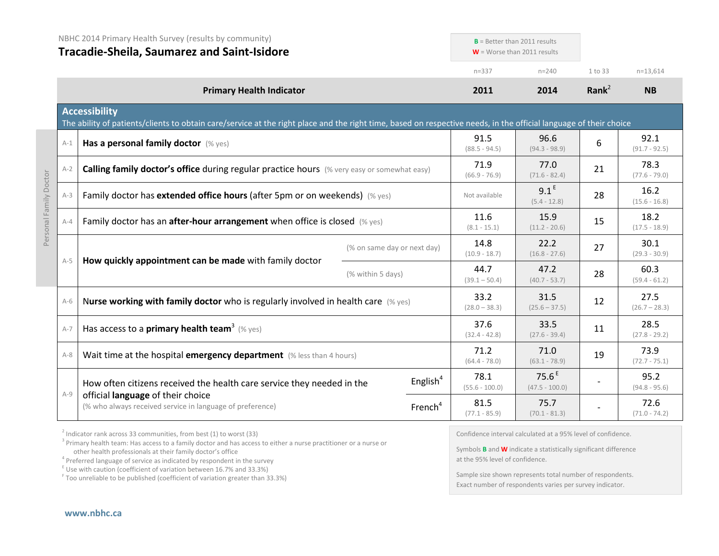|                        | NBHC 2014 Primary Health Survey (results by community)<br><b>Tracadie-Sheila, Saumarez and Saint-Isidore</b>                                                                              |                                                                                                                            |                             | $B =$ Better than 2011 results<br>$W =$ Worse than 2011 results                  |                                       |                   |                         |
|------------------------|-------------------------------------------------------------------------------------------------------------------------------------------------------------------------------------------|----------------------------------------------------------------------------------------------------------------------------|-----------------------------|----------------------------------------------------------------------------------|---------------------------------------|-------------------|-------------------------|
|                        |                                                                                                                                                                                           |                                                                                                                            |                             | $n = 337$                                                                        | $n = 240$                             | 1 to 33           | $n=13,614$              |
|                        |                                                                                                                                                                                           | <b>Primary Health Indicator</b>                                                                                            |                             | 2011                                                                             | 2014                                  | Rank <sup>2</sup> | <b>NB</b>               |
|                        | <b>Accessibility</b><br>The ability of patients/clients to obtain care/service at the right place and the right time, based on respective needs, in the official language of their choice |                                                                                                                            |                             |                                                                                  |                                       |                   |                         |
|                        | $A-1$                                                                                                                                                                                     | Has a personal family doctor (% yes)                                                                                       |                             | 91.5<br>$(88.5 - 94.5)$                                                          | 96.6<br>$(94.3 - 98.9)$               | 6                 | 92.1<br>$(91.7 - 92.5)$ |
|                        | $A-2$                                                                                                                                                                                     | Calling family doctor's office during regular practice hours (% very easy or somewhat easy)                                |                             | 71.9<br>$(66.9 - 76.9)$                                                          | 77.0<br>$(71.6 - 82.4)$               | 21                | 78.3<br>$(77.6 - 79.0)$ |
| Personal Family Doctor | $A-3$                                                                                                                                                                                     | Family doctor has extended office hours (after 5pm or on weekends) (% yes)                                                 |                             | Not available                                                                    | 9.1 <sup>E</sup><br>$(5.4 - 12.8)$    | 28                | 16.2<br>$(15.6 - 16.8)$ |
|                        | $A - 4$                                                                                                                                                                                   | Family doctor has an <b>after-hour arrangement</b> when office is closed $(\%$ yes)                                        |                             | 11.6<br>$(8.1 - 15.1)$                                                           | 15.9<br>$(11.2 - 20.6)$               | 15                | 18.2<br>$(17.5 - 18.9)$ |
|                        |                                                                                                                                                                                           | How quickly appointment can be made with family doctor                                                                     | (% on same day or next day) | 14.8<br>$(10.9 - 18.7)$                                                          | 22.2<br>$(16.8 - 27.6)$               | 27                | 30.1<br>$(29.3 - 30.9)$ |
|                        | $A-5$                                                                                                                                                                                     |                                                                                                                            | (% within 5 days)           | 44.7<br>$(39.1 - 50.4)$                                                          | 47.2<br>$(40.7 - 53.7)$               | 28                | 60.3<br>$(59.4 - 61.2)$ |
|                        | $A-6$                                                                                                                                                                                     | Nurse working with family doctor who is regularly involved in health care $(\%$ yes)                                       |                             | 33.2<br>$(28.0 - 38.3)$                                                          | 31.5<br>$(25.6 - 37.5)$               | 12                | 27.5<br>$(26.7 - 28.3)$ |
|                        | $A-7$                                                                                                                                                                                     | Has access to a <b>primary health team</b> <sup>3</sup> (% yes)                                                            |                             | 37.6<br>$(32.4 - 42.8)$                                                          | 33.5<br>$(27.6 - 39.4)$               | 11                | 28.5<br>$(27.8 - 29.2)$ |
|                        | $A-8$                                                                                                                                                                                     | Wait time at the hospital emergency department (% less than 4 hours)                                                       |                             | 71.2<br>$(64.4 - 78.0)$                                                          | 71.0<br>$(63.1 - 78.9)$               | 19                | 73.9<br>$(72.7 - 75.1)$ |
|                        |                                                                                                                                                                                           | How often citizens received the health care service they needed in the                                                     | English <sup>4</sup>        | 78.1<br>$(55.6 - 100.0)$                                                         | 75.6 <sup>E</sup><br>$(47.5 - 100.0)$ |                   | 95.2<br>$(94.8 - 95.6)$ |
|                        | $A-9$                                                                                                                                                                                     | official language of their choice<br>(% who always received service in language of preference)                             | French <sup>4</sup>         | 81.5<br>$(77.1 - 85.9)$                                                          | 75.7<br>$(70.1 - 81.3)$               |                   | 72.6<br>$(71.0 - 74.2)$ |
|                        |                                                                                                                                                                                           | $\frac{1}{2}$ is denoted by the second of $\alpha$ is the second of $\alpha$ in the second $\alpha$ is the second $\alpha$ |                             | $\alpha$ , the second second contract and a second contract of contract $\alpha$ |                                       |                   |                         |

 $2$  Indicator rank across 33 communities, from best (1) to worst (33)

<sup>3</sup> Primary health team: Has access to a family doctor and has access to either a nurse practitioner or a nurse or other health professionals at their family doctor's office<br><sup>4</sup> Preferred language of service as indicated by respondent in the survey

 $\frac{1}{2}$  Use with caution (coefficient of variation between 16.7% and 33.3%)

<sup>F</sup> Too unreliable to be published (coefficient of variation greater than 33.3%)

Confidence interval calculated at a 95% level of confidence.

Symbols **B** and **W** indicate a statistically significant difference at the 95% level of confidence.

Sample size shown represents total number of respondents. Exact number of respondents varies per survey indicator.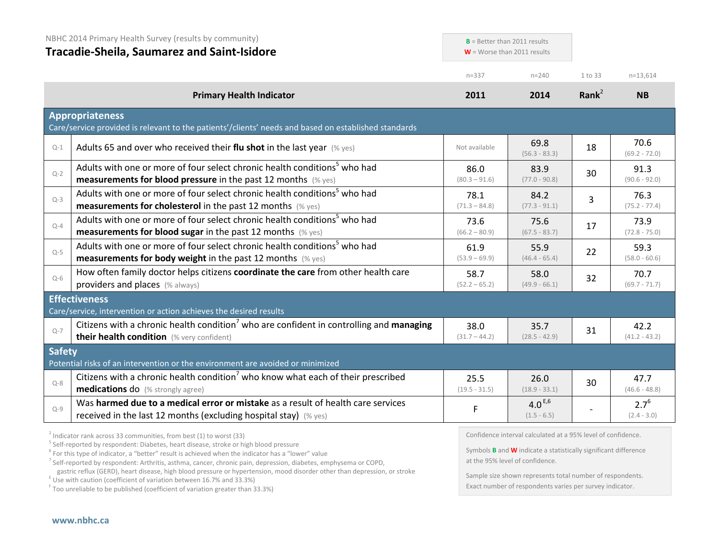|               | NBHC 2014 Primary Health Survey (results by community)<br><b>Tracadie-Sheila, Saumarez and Saint-Isidore</b>                                                     | $B =$ Better than 2011 results<br>$W =$ Worse than 2011 results |                                                              |                   |                            |
|---------------|------------------------------------------------------------------------------------------------------------------------------------------------------------------|-----------------------------------------------------------------|--------------------------------------------------------------|-------------------|----------------------------|
|               |                                                                                                                                                                  | $n = 337$                                                       | $n = 240$                                                    | 1 to 33           | $n=13,614$                 |
|               | <b>Primary Health Indicator</b>                                                                                                                                  | 2011                                                            | 2014                                                         | Rank <sup>2</sup> | <b>NB</b>                  |
|               | <b>Appropriateness</b><br>Care/service provided is relevant to the patients'/clients' needs and based on established standards                                   |                                                                 |                                                              |                   |                            |
| $Q-1$         | Adults 65 and over who received their flu shot in the last year $(\%$ yes)                                                                                       | Not available                                                   | 69.8<br>$(56.3 - 83.3)$                                      | 18                | 70.6<br>$(69.2 - 72.0)$    |
| $Q - 2$       | Adults with one or more of four select chronic health conditions <sup>5</sup> who had<br><b>measurements for blood pressure</b> in the past 12 months $(\%$ yes) | 86.0<br>$(80.3 - 91.6)$                                         | 83.9<br>$(77.0 - 90.8)$                                      | 30                | 91.3<br>$(90.6 - 92.0)$    |
| $Q-3$         | Adults with one or more of four select chronic health conditions <sup>5</sup> who had<br><b>measurements for cholesterol</b> in the past 12 months (% yes)       | 78.1<br>$(71.3 - 84.8)$                                         | 84.2<br>$(77.3 - 91.1)$                                      | $\overline{3}$    | 76.3<br>$(75.2 - 77.4)$    |
| $Q - 4$       | Adults with one or more of four select chronic health conditions <sup>5</sup> who had<br><b>measurements for blood sugar in the past 12 months</b> (% yes)       | 73.6<br>$(66.2 - 80.9)$                                         | 75.6<br>$(67.5 - 83.7)$                                      | 17                | 73.9<br>$(72.8 - 75.0)$    |
| $Q-5$         | Adults with one or more of four select chronic health conditions <sup>5</sup> who had<br><b>measurements for body weight</b> in the past 12 months (% yes)       | 61.9<br>$(53.9 - 69.9)$                                         | 55.9<br>$(46.4 - 65.4)$                                      | 22                | 59.3<br>$(58.0 - 60.6)$    |
| $Q-6$         | How often family doctor helps citizens coordinate the care from other health care<br>providers and places (% always)                                             | 58.7<br>$(52.2 - 65.2)$                                         | 58.0<br>$(49.9 - 66.1)$                                      | 32                | 70.7<br>$(69.7 - 71.7)$    |
|               | <b>Effectiveness</b><br>Care/service, intervention or action achieves the desired results                                                                        |                                                                 |                                                              |                   |                            |
| $Q-7$         | Citizens with a chronic health condition <sup>7</sup> who are confident in controlling and managing<br>their health condition (% very confident)                 | 38.0<br>$(31.7 - 44.2)$                                         | 35.7<br>$(28.5 - 42.9)$                                      | 31                | 42.2<br>$(41.2 - 43.2)$    |
| <b>Safety</b> | Potential risks of an intervention or the environment are avoided or minimized                                                                                   |                                                                 |                                                              |                   |                            |
| $Q - 8$       | Citizens with a chronic health condition <sup>7</sup> who know what each of their prescribed<br><b>medications do</b> (% strongly agree)                         | 25.5<br>$(19.5 - 31.5)$                                         | 26.0<br>$(18.9 - 33.1)$                                      | 30                | 47.7<br>$(46.6 - 48.8)$    |
| $Q - 9$       | Was harmed due to a medical error or mistake as a result of health care services<br>received in the last 12 months (excluding hospital stay) (% yes)             | F                                                               | 4.0 $E,6$<br>$(1.5 - 6.5)$                                   |                   | $2.7^{6}$<br>$(2.4 - 3.0)$ |
|               | $\frac{2}{3}$ Indicator rank across 33 communities, from best (1) to worst (33)                                                                                  |                                                                 | Confidence interval calculated at a 95% level of confidence. |                   |                            |

 $\frac{2}{3}$  Indicator rank across 33 communities, from best (1) to worst (33)<br> $\frac{5}{3}$  Self-reported by respondent: Diabetes, heart disease, stroke or high blood pressure

<sup>6</sup> For this type of indicator, a "better" result is achieved when the indicator has a "lower" value

<sup>7</sup> Self-reported by respondent: Arthritis, asthma, cancer, chronic pain, depression, diabetes, emphysema or COPD,

gastric reflux (GERD), heart disease, high blood pressure or hypertension, mood disorder other than depression, or stroke E Use with caution (coefficient of variation between 16.7% and 33.3%)

<sup>F</sup> Too unreliable to be published (coefficient of variation greater than 33.3%)

Confidence interval calculated at a 95% level of confidence.

Symbols **B** and **W** indicate a statistically significant difference at the 95% level of confidence.

Sample size shown represents total number of respondents. Exact number of respondents varies per survey indicator.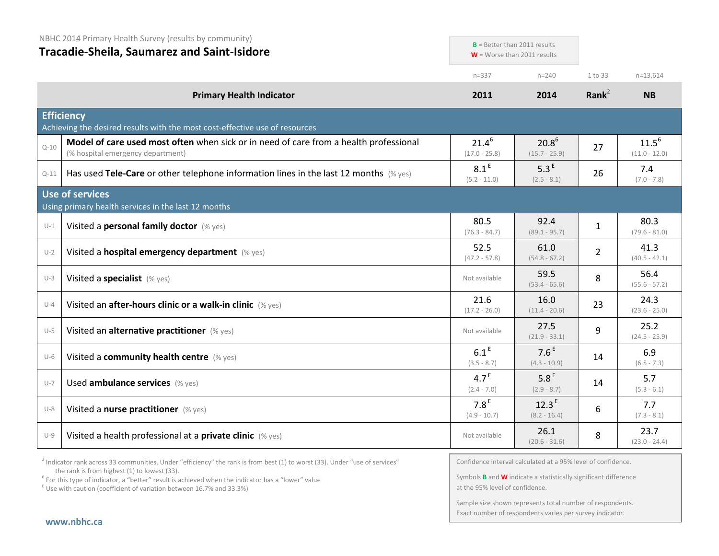NBHC 2014 Primary Health Survey (results by community)

## **Tracadie-Sheila, Saumarez and Saint-Isidore**

|          |                                                                                                                            |                                    | $\mathbf{v}$ = vvorse tridit zull results. |                |                               |
|----------|----------------------------------------------------------------------------------------------------------------------------|------------------------------------|--------------------------------------------|----------------|-------------------------------|
|          |                                                                                                                            | $n = 337$                          | $n = 240$                                  | 1 to 33        | $n=13,614$                    |
|          | <b>Primary Health Indicator</b>                                                                                            | 2011                               | 2014                                       | Rank $2$       | <b>NB</b>                     |
|          | <b>Efficiency</b><br>Achieving the desired results with the most cost-effective use of resources                           |                                    |                                            |                |                               |
| $Q - 10$ | Model of care used most often when sick or in need of care from a health professional<br>(% hospital emergency department) | $21.4^{6}$<br>$(17.0 - 25.8)$      | $20.8^{6}$<br>$(15.7 - 25.9)$              | 27             | $11.5^{6}$<br>$(11.0 - 12.0)$ |
| $Q-11$   | Has used Tele-Care or other telephone information lines in the last 12 months (% yes)                                      | 8.1 <sup>E</sup><br>$(5.2 - 11.0)$ | 5.3 <sup>E</sup><br>$(2.5 - 8.1)$          | 26             | 7.4<br>$(7.0 - 7.8)$          |
|          | Use of services<br>Using primary health services in the last 12 months                                                     |                                    |                                            |                |                               |
| $U-1$    | Visited a personal family doctor (% yes)                                                                                   | 80.5<br>$(76.3 - 84.7)$            | 92.4<br>$(89.1 - 95.7)$                    | $\mathbf{1}$   | 80.3<br>$(79.6 - 81.0)$       |
| $U-2$    | Visited a hospital emergency department (% yes)                                                                            | 52.5<br>$(47.2 - 57.8)$            | 61.0<br>$(54.8 - 67.2)$                    | $\overline{2}$ | 41.3<br>$(40.5 - 42.1)$       |
| $U-3$    | Visited a specialist (% yes)                                                                                               | Not available                      | 59.5<br>$(53.4 - 65.6)$                    | 8              | 56.4<br>$(55.6 - 57.2)$       |
| $U - 4$  | Visited an after-hours clinic or a walk-in clinic (% yes)                                                                  | 21.6<br>$(17.2 - 26.0)$            | 16.0<br>$(11.4 - 20.6)$                    | 23             | 24.3<br>$(23.6 - 25.0)$       |
| $U-5$    | Visited an alternative practitioner (% yes)                                                                                | Not available                      | 27.5<br>$(21.9 - 33.1)$                    | 9              | 25.2<br>$(24.5 - 25.9)$       |
| $U-6$    | Visited a community health centre (% yes)                                                                                  | 6.1 <sup>E</sup><br>$(3.5 - 8.7)$  | 7.6 <sup>E</sup><br>$(4.3 - 10.9)$         | 14             | 6.9<br>$(6.5 - 7.3)$          |
| $U - 7$  | Used ambulance services (% yes)                                                                                            | 4.7 <sup>E</sup><br>$(2.4 - 7.0)$  | 5.8 <sup>E</sup><br>$(2.9 - 8.7)$          | 14             | 5.7<br>$(5.3 - 6.1)$          |
| $U-8$    | Visited a nurse practitioner (% yes)                                                                                       | 7.8 <sup>E</sup><br>$(4.9 - 10.7)$ | 12.3 <sup>E</sup><br>$(8.2 - 16.4)$        | 6              | 7.7<br>$(7.3 - 8.1)$          |
| $U-9$    | Visited a health professional at a private clinic (% yes)                                                                  | Not available                      | 26.1<br>$(20.6 - 31.6)$                    | 8              | 23.7<br>$(23.0 - 24.4)$       |

<sup>2</sup> Indicator rank across 33 communities. Under "efficiency" the rank is from best (1) to worst (33). Under "use of services" the rank is from highest (1) to lowest (33).

<sup>6</sup> For this type of indicator, a "better" result is achieved when the indicator has a "lower" value  $E$ <sup>E</sup> Use with caution (coefficient of variation between 16.7% and 33.3%)

Confidence interval calculated at a 95% level of confidence.

**B** = Better than 2011 results **W** = Worse than 2011 results

Symbols **B** and **W** indicate a statistically significant difference at the 95% level of confidence.

Sample size shown represents total number of respondents. Exact number of respondents varies per survey indicator.